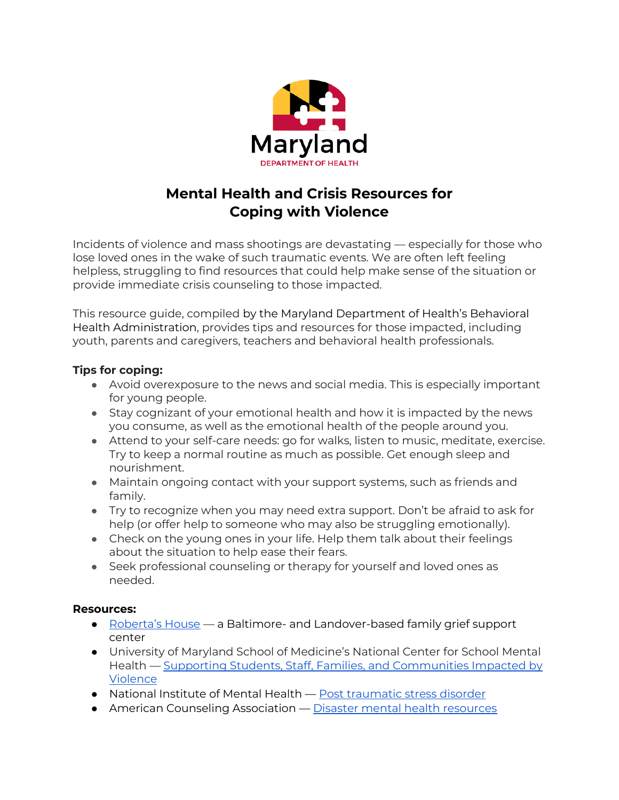

# **Mental Health and Crisis Resources for Coping with Violence**

Incidents of violence and mass shootings are devastating — especially for those who lose loved ones in the wake of such traumatic events. We are often left feeling helpless, struggling to find resources that could help make sense of the situation or provide immediate crisis counseling to those impacted.

This resource guide, compiled by the Maryland Department of Health's Behavioral Health Administration, provides tips and resources for those impacted, including youth, parents and caregivers, teachers and behavioral health professionals.

## **Tips for coping:**

- Avoid overexposure to the news and social media. This is especially important for young people.
- Stay cognizant of your emotional health and how it is impacted by the news you consume, as well as the emotional health of the people around you.
- Attend to your self-care needs: go for walks, listen to music, meditate, exercise. Try to keep a normal routine as much as possible. Get enough sleep and nourishment.
- Maintain ongoing contact with your support systems, such as friends and family.
- Try to recognize when you may need extra support. Don't be afraid to ask for help (or offer help to someone who may also be struggling emotionally).
- Check on the young ones in your life. Help them talk about their feelings about the situation to help ease their fears.
- Seek professional counseling or therapy for yourself and loved ones as needed.

### **Resources:**

- [Roberta's House](https://robertashouse.org/programs/) a Baltimore- and Landover-based family grief support center
- University of Maryland School of Medicine's National Center for School Mental Health — [Supporting Students, Staff, Families, and Communities Impacted by](https://www.schoolmentalhealth.org/media/SOM/Microsites/NCSMH/Documents/Resources/Supporting-After-Violence.pdf)  **[Violence](https://www.schoolmentalhealth.org/media/SOM/Microsites/NCSMH/Documents/Resources/Supporting-After-Violence.pdf)**
- National Institute of Mental Health [Post traumatic stress disorder](https://www.nimh.nih.gov/health/topics/post-traumatic-stress-disorder-ptsd)
- American Counseling Association [Disaster mental health resources](http://www.counseling.org/knowledge-center/trauma-disaster)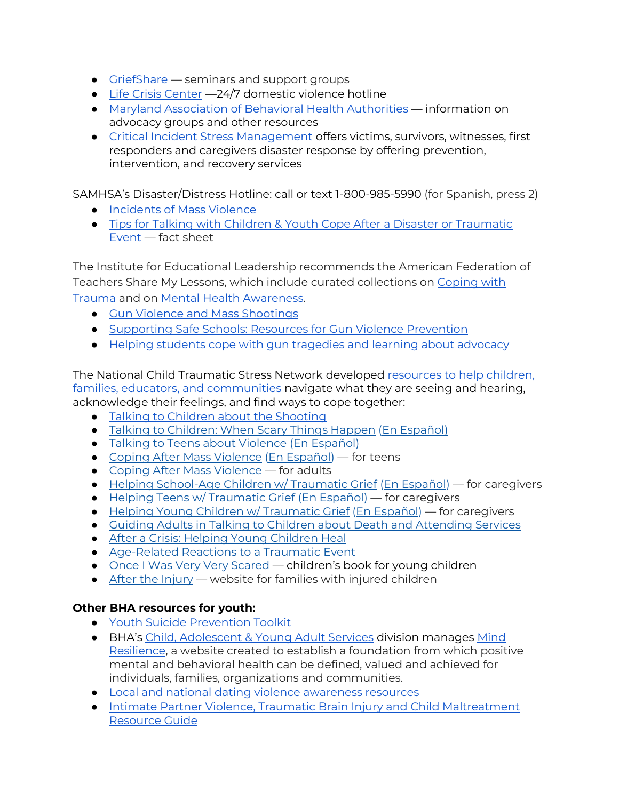- [GriefShare](https://www.griefshare.org/) seminars and support groups
- [Life Crisis Center](https://www.lifecrisiscenter.org/services.htm) 24/7 domestic violence hotline
- [Maryland Association of Behavioral Health Authorities](https://mabha.org/resource-list/) information on advocacy groups and other resources
- [Critical Incident Stress Management](https://www.miemss.org/home/ems-providers/cism) offers victims, survivors, witnesses, first responders and caregivers disaster response by offering prevention, intervention, and recovery services

SAMHSA's Disaster/Distress Hotline: call or text 1-800-985-5990 (for Spanish, press 2)

- [Incidents of Mass Violence](https://www.samhsa.gov/find-help/disaster-distress-helpline/disaster-types/incidents-mass-violence)
- [Tips for Talking with Children & Youth Cope After a Disaster or Traumatic](https://store.samhsa.gov/product/tips-talking-helping-children-youth-cope-after-disaster-or-traumatic-event-guide-parents/sma12-4732)  [Event](https://store.samhsa.gov/product/tips-talking-helping-children-youth-cope-after-disaster-or-traumatic-event-guide-parents/sma12-4732) — fact sheet

The Institute for Educational Leadership recommends the American Federation of Teachers Share My Lessons, which include curated collections on [Coping with](https://sharemylesson.com/collections/helping-children-cope-traumatic-events)  [Trauma](https://sharemylesson.com/collections/helping-children-cope-traumatic-events) and on [Mental Health Awareness.](https://sharemylesson.com/collections/mental-health-awareness)

- [Gun Violence and Mass Shootings](https://sharemylesson.com/todays-news-tomorrows-lesson/gun-violence-and-mass-shootings)
- [Supporting Safe Schools: Resources for Gun Violence Prevention](https://sharemylesson.com/collections/supporting-safe-schools-resources-gun-violence-prevention)
- [Helping students cope with gun tragedies and learning about advocacy](https://sharemylesson.com/search?k=coping+with+shootings&f%5B0%5D=&f%5B1%5D=&f%5B2%5D=&sort_by=search_api_relevance&op=Search)

The National Child Traumatic Stress Network developed [resources to help children,](https://nam11.safelinks.protection.outlook.com/?url=http%3A%2F%2Fbuff.ly%2F3ll6fOQ&data=05%7C01%7CShuntley%40som.umaryland.edu%7C5be21dd6869a477daa6108da386efe4d%7C717009a620de461a88940312a395cac9%7C0%7C0%7C637884346626600031%7CUnknown%7CTWFpbGZsb3d8eyJWIjoiMC4wLjAwMDAiLCJQIjoiV2luMzIiLCJBTiI6Ik1haWwiLCJXVCI6Mn0%3D%7C3000%7C%7C%7C&sdata=xaowvADP%2FYq1ulR1zBTwB%2BnN0hj7YOxdIIA4pG74hS0%3D&reserved=0)  [families, educators, and communities](https://nam11.safelinks.protection.outlook.com/?url=http%3A%2F%2Fbuff.ly%2F3ll6fOQ&data=05%7C01%7CShuntley%40som.umaryland.edu%7C5be21dd6869a477daa6108da386efe4d%7C717009a620de461a88940312a395cac9%7C0%7C0%7C637884346626600031%7CUnknown%7CTWFpbGZsb3d8eyJWIjoiMC4wLjAwMDAiLCJQIjoiV2luMzIiLCJBTiI6Ik1haWwiLCJXVCI6Mn0%3D%7C3000%7C%7C%7C&sdata=xaowvADP%2FYq1ulR1zBTwB%2BnN0hj7YOxdIIA4pG74hS0%3D&reserved=0) navigate what they are seeing and hearing, acknowledge their feelings, and find ways to cope together:

- [Talking to Children about the Shooting](https://www.nctsn.org/resources/talking-children-about-shooting)
- [Talking to Children: When Scary Things Happen](https://nam11.safelinks.protection.outlook.com/?url=https%3A%2F%2Fdrive.google.com%2Ffile%2Fd%2F1Mc8dsD-AYBupNgXeI97BrVmKvoGWQrgw%2Fview&data=05%7C01%7CKconnors%40som.umaryland.edu%7C5b13e3fa76114100ae8308da3dd021bd%7C717009a620de461a88940312a395cac9%7C0%7C0%7C637890261404126900%7CUnknown%7CTWFpbGZsb3d8eyJWIjoiMC4wLjAwMDAiLCJQIjoiV2luMzIiLCJBTiI6Ik1haWwiLCJXVCI6Mn0%3D%7C3000%7C%7C%7C&sdata=dWKGUH2TaRP5iFhmz01LS0rLr4Nu8O%2FNaq96JlX9Jfc%3D&reserved=0) [\(En Español\)](https://nam11.safelinks.protection.outlook.com/?url=https%3A%2F%2Fdrive.google.com%2Ffile%2Fd%2F181pGktEIcnqxyRmQJuaBJ6d0Vjg5K-z6%2Fview&data=05%7C01%7CKconnors%40som.umaryland.edu%7C5b13e3fa76114100ae8308da3dd021bd%7C717009a620de461a88940312a395cac9%7C0%7C0%7C637890261404126900%7CUnknown%7CTWFpbGZsb3d8eyJWIjoiMC4wLjAwMDAiLCJQIjoiV2luMzIiLCJBTiI6Ik1haWwiLCJXVCI6Mn0%3D%7C3000%7C%7C%7C&sdata=eT4FX8R%2FJ3zqBF59ZyWxrUWLpy44P35l9%2Fk3SfNADY0%3D&reserved=0)
- [Talking to Teens about Violence](https://nam11.safelinks.protection.outlook.com/?url=https%3A%2F%2Fdrive.google.com%2Ffile%2Fd%2F1fnP6HTUyJO-sdRJ0bgYJ6V8UrSIWTjJv%2Fview&data=05%7C01%7CKconnors%40som.umaryland.edu%7C5b13e3fa76114100ae8308da3dd021bd%7C717009a620de461a88940312a395cac9%7C0%7C0%7C637890261404126900%7CUnknown%7CTWFpbGZsb3d8eyJWIjoiMC4wLjAwMDAiLCJQIjoiV2luMzIiLCJBTiI6Ik1haWwiLCJXVCI6Mn0%3D%7C3000%7C%7C%7C&sdata=vtWZxtRn0Ss1QiP5y403vNeI34L8LL87Ln%2FE%2FOk4ijk%3D&reserved=0) [\(En Español\)](https://nam11.safelinks.protection.outlook.com/?url=https%3A%2F%2Fibsweb.colorado.edu%2Fcrw%2Fwp-content%2Fuploads%2Fsites%2F7%2F2021%2F04%2FCRWS_Spanish_Talking-to-Teens_Violent-Events.pdf&data=05%7C01%7CKconnors%40som.umaryland.edu%7C5b13e3fa76114100ae8308da3dd021bd%7C717009a620de461a88940312a395cac9%7C0%7C0%7C637890261404126900%7CUnknown%7CTWFpbGZsb3d8eyJWIjoiMC4wLjAwMDAiLCJQIjoiV2luMzIiLCJBTiI6Ik1haWwiLCJXVCI6Mn0%3D%7C3000%7C%7C%7C&sdata=XlO5RGfqUHcH7ITTxpe1DZjp5V%2FVAXhr3YalMNoQn9w%3D&reserved=0)
- [Coping After Mass Violence](https://nam11.safelinks.protection.outlook.com/?url=https%3A%2F%2Furldefense.com%2Fv3%2F__https%3A%2Fnam12.safelinks.protection.outlook.com%2F%3Furl%3Dhttps*3A*2F*2Fwww.nctsn.org*2Fsites*2Fdefault*2Ffiles*2Fresources*2Ffact-sheet*2Ffor_teens_coping_after_mass_violence.pdf%26data%3D05*7C01*7Cmsommerville*40bestselfwny.org*7C9cc7b3a66ee1407b93cd08da384060f6*7C5fde4e13381544908af9179c523986a4*7C0*7C0*7C637884147173072305*7CUnknown*7CTWFpbGZsb3d8eyJWIjoiMC4wLjAwMDAiLCJQIjoiV2luMzIiLCJBTiI6Ik1haWwiLCJXVCI6Mn0*3D*7C3000*7C*7C*7C%26sdata%3DgToiz4ZLD*2BiD*2FsLKbmX5N0jp5MRToKjSiqTU6o05utI*3D%26reserved%3D0__%3BJSUlJSUlJSUlJSUlJSUlJSUlJSUlJSUlJSUl!!F9wkZZsI-LA!DvCYO2OfdJmlrFhVf6w3GdstfuUP-Cklkd8EVz5hJEkymxQ9x6lDGR76_lpaCGtN6slPBMX2a35VF5Toy6yGMQiqZUvy23uhjQ%24&data=05%7C01%7CKconnors%40som.umaryland.edu%7C5b13e3fa76114100ae8308da3dd021bd%7C717009a620de461a88940312a395cac9%7C0%7C0%7C637890261404126900%7CUnknown%7CTWFpbGZsb3d8eyJWIjoiMC4wLjAwMDAiLCJQIjoiV2luMzIiLCJBTiI6Ik1haWwiLCJXVCI6Mn0%3D%7C3000%7C%7C%7C&sdata=LV8z2sme%2FvF8C9EhYbBXThzQgH7wQC9MlGnbDMmss5M%3D&reserved=0) [\(En Español\)](https://nam11.safelinks.protection.outlook.com/?url=https%3A%2F%2Furldefense.com%2Fv3%2F__https%3A%2Fnam12.safelinks.protection.outlook.com%2F%3Furl%3Dhttps*3A*2F*2Fwww.nctsn.org*2Fresources*2Ffor-teens-coping-after-mass-violence-sp%26data%3D05*7C01*7Cmsommerville*40bestselfwny.org*7C9cc7b3a66ee1407b93cd08da384060f6*7C5fde4e13381544908af9179c523986a4*7C0*7C0*7C637884147173072305*7CUnknown*7CTWFpbGZsb3d8eyJWIjoiMC4wLjAwMDAiLCJQIjoiV2luMzIiLCJBTiI6Ik1haWwiLCJXVCI6Mn0*3D*7C3000*7C*7C*7C%26sdata%3DsMS9wPkteyHjOSvAzs0p2pjBTX0UKNb04mP4vUPfP2g*3D%26reserved%3D0__%3BJSUlJSUlJSUlJSUlJSUlJSUlJSUl!!F9wkZZsI-LA!DvCYO2OfdJmlrFhVf6w3GdstfuUP-Cklkd8EVz5hJEkymxQ9x6lDGR76_lpaCGtN6slPBMX2a35VF5Toy6yGMQiqZUugOTKsJw%24&data=05%7C01%7CKconnors%40som.umaryland.edu%7C5b13e3fa76114100ae8308da3dd021bd%7C717009a620de461a88940312a395cac9%7C0%7C0%7C637890261404126900%7CUnknown%7CTWFpbGZsb3d8eyJWIjoiMC4wLjAwMDAiLCJQIjoiV2luMzIiLCJBTiI6Ik1haWwiLCJXVCI6Mn0%3D%7C3000%7C%7C%7C&sdata=Iz%2B1K2Xf8UU%2Fq%2Fp12E7tB7IgHfzgQ8wMu%2FaqUPZqpjQ%3D&reserved=0) for teens
- [Coping After Mass Violence](https://nam11.safelinks.protection.outlook.com/?url=https%3A%2F%2Furldefense.com%2Fv3%2F__https%3A%2Fnam12.safelinks.protection.outlook.com%2F%3Furl%3Dhttps*3A*2F*2Fwww.nctsn.org*2Fresources*2Fcoping-after-mass-violence%26data%3D05*7C01*7Cmsommerville*40bestselfwny.org*7C9cc7b3a66ee1407b93cd08da384060f6*7C5fde4e13381544908af9179c523986a4*7C0*7C0*7C637884147173072305*7CUnknown*7CTWFpbGZsb3d8eyJWIjoiMC4wLjAwMDAiLCJQIjoiV2luMzIiLCJBTiI6Ik1haWwiLCJXVCI6Mn0*3D*7C3000*7C*7C*7C%26sdata%3DTuXvdiCTQsw7noOO1y0m13M4xmu9K2pYNAnmRejFQaY*3D%26reserved%3D0__%3BJSUlJSUlJSUlJSUlJSUlJSUlJSUl!!F9wkZZsI-LA!DvCYO2OfdJmlrFhVf6w3GdstfuUP-Cklkd8EVz5hJEkymxQ9x6lDGR76_lpaCGtN6slPBMX2a35VF5Toy6yGMQiqZUs4xbGPJQ%24&data=05%7C01%7CKconnors%40som.umaryland.edu%7C5b13e3fa76114100ae8308da3dd021bd%7C717009a620de461a88940312a395cac9%7C0%7C0%7C637890261404126900%7CUnknown%7CTWFpbGZsb3d8eyJWIjoiMC4wLjAwMDAiLCJQIjoiV2luMzIiLCJBTiI6Ik1haWwiLCJXVCI6Mn0%3D%7C3000%7C%7C%7C&sdata=Sw8iGIHcEQm5KZ5RBYMeqaiDrWvEQEf0Qf89Q5aLNpw%3D&reserved=0) for adults
- [Helping School-Age Children w/ Traumatic Grief](https://nam11.safelinks.protection.outlook.com/?url=https%3A%2F%2Furldefense.com%2Fv3%2F__https%3A%2Fnam11.safelinks.protection.outlook.com%2F%3Furl%3Dhttps*3A*2F*2Furldefense.com*2Fv3*2F__https*3A*2Fnam11.safelinks.protection.outlook.com*2F*3Furl*3Dhttps*3A*2F*2Fwww.nctsn.org*2Fresources*2Fhelping-school-age-children-traumatic-grief-tips-caregivers*26data*3D04*7C01*7Cjames.henry*40wmich.edu*7C778118e4202c4e67efa608d9b44a0ee1*7C257622517aa94c72905f39bf026a8a84*7C0*7C0*7C637739052603868934*7CUnknown*7CTWFpbGZsb3d8eyJWIjoiMC4wLjAwMDAiLCJQIjoiV2luMzIiLCJBTiI6Ik1haWwiLCJXVCI6Mn0*3D*7C3000*26sdata*3Dfg3WJyHF5fNqJc9QGrBUXFxPqcvieTxPTynNbIe8NX8*3D*26reserved*3D0__*3BJSUlJSUlJSUlJSUlJSUlJSUl!!F9wkZZsI-LA!S0ez0EkgYcoJQqCliLyWQGcPOIQilAz-QMZ3GihleehIPx3OI_orGZ1W6zQDQdED9yiS*24%26data%3D04*7C01*7Cjames.henry*40wmich.edu*7Cd211fee17b5e42b56c9708d9bc049985*7C257622517aa94c72905f39bf026a8a84*7C0*7C0*7C637747550359944141*7CUnknown*7CTWFpbGZsb3d8eyJWIjoiMC4wLjAwMDAiLCJQIjoiV2luMzIiLCJBTiI6Ik1haWwiLCJXVCI6Mn0*3D*7C3000%26sdata%3DHW2f3xvaPdZTnj*2BFrGwd9ppIIRwSxFWa2R5UGiduMdA*3D%26reserved%3D0__%3BJSUlJSUlJSUlJSoqKioqJSUqKioqKioqKioqKiolJSolJSUlJSUlJSUlJSUlJSUlJSU!!F9wkZZsI-LA!WLN-m7mcj34zxZ_vuGozR808BlN5tLgRjC4KShGKA5LpEZshoFC5ViPePI9l1xz66sbk%24&data=05%7C01%7CKconnors%40som.umaryland.edu%7C5b13e3fa76114100ae8308da3dd021bd%7C717009a620de461a88940312a395cac9%7C0%7C0%7C637890261404126900%7CUnknown%7CTWFpbGZsb3d8eyJWIjoiMC4wLjAwMDAiLCJQIjoiV2luMzIiLCJBTiI6Ik1haWwiLCJXVCI6Mn0%3D%7C3000%7C%7C%7C&sdata=mrglx6guaO%2FYgj7I8e8n0V1MDDxcbJeGRxvX%2F7zo4%2Bk%3D&reserved=0) [\(En Español\)](https://nam11.safelinks.protection.outlook.com/?url=https%3A%2F%2Fwww.nctsn.org%2Fresources%2Fhelping-school-age-children-traumatic-grief-tips-caregivers-sp&data=05%7C01%7CKconnors%40som.umaryland.edu%7C5b13e3fa76114100ae8308da3dd021bd%7C717009a620de461a88940312a395cac9%7C0%7C0%7C637890261404126900%7CUnknown%7CTWFpbGZsb3d8eyJWIjoiMC4wLjAwMDAiLCJQIjoiV2luMzIiLCJBTiI6Ik1haWwiLCJXVCI6Mn0%3D%7C3000%7C%7C%7C&sdata=bOIsDkED93aEj0T2uZmqkTA3oltu9J6reCKQ%2FFMvDww%3D&reserved=0) for caregivers
- [Helping Teens w/ Traumatic Grief](https://nam11.safelinks.protection.outlook.com/?url=https%3A%2F%2Furldefense.com%2Fv3%2F__https%3A%2Fnam11.safelinks.protection.outlook.com%2F%3Furl%3Dhttps*3A*2F*2Furldefense.com*2Fv3*2F__https*3A*2Fnam11.safelinks.protection.outlook.com*2F*3Furl*3Dhttps*3A*2F*2Fwww.nctsn.org*2Fresources*2Fhelping-teens-traumatic-grief-tips-caregivers*26data*3D04*7C01*7Cjames.henry*40wmich.edu*7C778118e4202c4e67efa608d9b44a0ee1*7C257622517aa94c72905f39bf026a8a84*7C0*7C0*7C637739052603858978*7CUnknown*7CTWFpbGZsb3d8eyJWIjoiMC4wLjAwMDAiLCJQIjoiV2luMzIiLCJBTiI6Ik1haWwiLCJXVCI6Mn0*3D*7C3000*26sdata*3DFolYCzlhYQScOaNc3TL4ETkm9KZ7YiukUDm9*2F*2FwFxms*3D*26reserved*3D0__*3BJSUlJSUlJSUlJSUlJSUlJSUlJSU!!F9wkZZsI-LA!S0ez0EkgYcoJQqCliLyWQGcPOIQilAz-QMZ3GihleehIPx3OI_orGZ1W6zQDQTb9_diS*24%26data%3D04*7C01*7Cjames.henry*40wmich.edu*7Cd211fee17b5e42b56c9708d9bc049985*7C257622517aa94c72905f39bf026a8a84*7C0*7C0*7C637747550359944141*7CUnknown*7CTWFpbGZsb3d8eyJWIjoiMC4wLjAwMDAiLCJQIjoiV2luMzIiLCJBTiI6Ik1haWwiLCJXVCI6Mn0*3D*7C3000%26sdata%3DSSEhfmZ6QqA3sKJsndMK*2Bd2dvt1vZu3llSK*2BMAxplL4*3D%26reserved%3D0__%3BJSUlJSUlJSUlJSoqKioqJSUqKioqKioqKioqKiolJSoqKiUlJSUlJSUlJSUlJSUlJSUlJSU!!F9wkZZsI-LA!WLN-m7mcj34zxZ_vuGozR808BlN5tLgRjC4KShGKA5LpEZshoFC5ViPePI9l12YbIfJJ%24&data=05%7C01%7CKconnors%40som.umaryland.edu%7C5b13e3fa76114100ae8308da3dd021bd%7C717009a620de461a88940312a395cac9%7C0%7C0%7C637890261404126900%7CUnknown%7CTWFpbGZsb3d8eyJWIjoiMC4wLjAwMDAiLCJQIjoiV2luMzIiLCJBTiI6Ik1haWwiLCJXVCI6Mn0%3D%7C3000%7C%7C%7C&sdata=YSVbH2xLakEMw1HG7SySSyKxIZ2DllfvpMwCOz7lloM%3D&reserved=0) [\(En Español\)](https://nam11.safelinks.protection.outlook.com/?url=https%3A%2F%2Fwww.nctsn.org%2Fsites%2Fdefault%2Ffiles%2Fresources%2Ftip-sheet%2Fhelping-teens-with-traumatic-grief-for-caregivers-sp.pdf&data=05%7C01%7CKconnors%40som.umaryland.edu%7C5b13e3fa76114100ae8308da3dd021bd%7C717009a620de461a88940312a395cac9%7C0%7C0%7C637890261404126900%7CUnknown%7CTWFpbGZsb3d8eyJWIjoiMC4wLjAwMDAiLCJQIjoiV2luMzIiLCJBTiI6Ik1haWwiLCJXVCI6Mn0%3D%7C3000%7C%7C%7C&sdata=zC4G%2BihPRBUGId%2BiD2w%2BMv3ktDRuLtVFCvkIF8eSG%2Bo%3D&reserved=0) for caregivers
- [Helping Young Children w/ Traumatic Grief](https://nam11.safelinks.protection.outlook.com/?url=https%3A%2F%2Furldefense.com%2Fv3%2F__https%3A%2Fnam11.safelinks.protection.outlook.com%2F%3Furl%3Dhttps*3A*2F*2Furldefense.com*2Fv3*2F__https*3A*2Fnam11.safelinks.protection.outlook.com*2F*3Furl*3Dhttps*3A*2F*2Fwww.nctsn.org*2Fresources*2Fhelping-young-children-traumatic-grief-tips-caregivers*26data*3D04*7C01*7Cjames.henry*40wmich.edu*7C778118e4202c4e67efa608d9b44a0ee1*7C257622517aa94c72905f39bf026a8a84*7C0*7C0*7C637739052603868934*7CUnknown*7CTWFpbGZsb3d8eyJWIjoiMC4wLjAwMDAiLCJQIjoiV2luMzIiLCJBTiI6Ik1haWwiLCJXVCI6Mn0*3D*7C3000*26sdata*3Dw0elNUIRxgQ6jnZcmTB9hMxipKDxQ9UV4DPaa0fwWxw*3D*26reserved*3D0__*3BJSUlJSUlJSUlJSUlJSUlJSUl!!F9wkZZsI-LA!S0ez0EkgYcoJQqCliLyWQGcPOIQilAz-QMZ3GihleehIPx3OI_orGZ1W6zQDQaSVV8lj*24%26data%3D04*7C01*7Cjames.henry*40wmich.edu*7Cd211fee17b5e42b56c9708d9bc049985*7C257622517aa94c72905f39bf026a8a84*7C0*7C0*7C637747550359944141*7CUnknown*7CTWFpbGZsb3d8eyJWIjoiMC4wLjAwMDAiLCJQIjoiV2luMzIiLCJBTiI6Ik1haWwiLCJXVCI6Mn0*3D*7C3000%26sdata%3DM97KpznXEkhD6wJYOEqelNXJp2*2BIqX6u4C*2FlaePgmPk*3D%26reserved%3D0__%3BJSUlJSUlJSUlJSoqKioqJSUqKioqKioqKioqKiolJSolJSUlJSUlJSUlJSUlJSUlJSUl!!F9wkZZsI-LA!WLN-m7mcj34zxZ_vuGozR808BlN5tLgRjC4KShGKA5LpEZshoFC5ViPePI9l18b6ChQl%24&data=05%7C01%7CKconnors%40som.umaryland.edu%7C5b13e3fa76114100ae8308da3dd021bd%7C717009a620de461a88940312a395cac9%7C0%7C0%7C637890261404283040%7CUnknown%7CTWFpbGZsb3d8eyJWIjoiMC4wLjAwMDAiLCJQIjoiV2luMzIiLCJBTiI6Ik1haWwiLCJXVCI6Mn0%3D%7C3000%7C%7C%7C&sdata=i818ihQsdmnAL2bR9yH1dDUhtMzlT1nGfV5moBJKgU8%3D&reserved=0) [\(En Español\)](https://nam11.safelinks.protection.outlook.com/?url=https%3A%2F%2Fwww.nctsn.org%2Fresources%2Fhelping-young-children-traumatic-grief-tips-caregivers-sp&data=05%7C01%7CKconnors%40som.umaryland.edu%7C5b13e3fa76114100ae8308da3dd021bd%7C717009a620de461a88940312a395cac9%7C0%7C0%7C637890261404283040%7CUnknown%7CTWFpbGZsb3d8eyJWIjoiMC4wLjAwMDAiLCJQIjoiV2luMzIiLCJBTiI6Ik1haWwiLCJXVCI6Mn0%3D%7C3000%7C%7C%7C&sdata=Ks5TOJto8ouJV1C%2BZ7oLdGEQ5BRzCbMAxDJ2hAYoML4%3D&reserved=0) for caregivers
- [Guiding Adults in Talking to Children about Death and Attending Services](https://nam11.safelinks.protection.outlook.com/?url=https%3A%2F%2Fwww.nctsn.org%2Fresources%2Fguiding-adults-talking-children-about-death-and-attending-services&data=05%7C01%7CKconnors%40som.umaryland.edu%7C5b13e3fa76114100ae8308da3dd021bd%7C717009a620de461a88940312a395cac9%7C0%7C0%7C637890261404283040%7CUnknown%7CTWFpbGZsb3d8eyJWIjoiMC4wLjAwMDAiLCJQIjoiV2luMzIiLCJBTiI6Ik1haWwiLCJXVCI6Mn0%3D%7C3000%7C%7C%7C&sdata=R73ps4oBesa7GIMenefiIgTWr2%2B4vpdDpUiuCcnakx4%3D&reserved=0)
- [After a Crisis: Helping Young Children Heal](https://nam11.safelinks.protection.outlook.com/?url=https%3A%2F%2Fwww.nctsn.org%2Fresources%2Fafter-crisis-helping-young-children-heal&data=05%7C01%7CKconnors%40som.umaryland.edu%7C5b13e3fa76114100ae8308da3dd021bd%7C717009a620de461a88940312a395cac9%7C0%7C0%7C637890261404283040%7CUnknown%7CTWFpbGZsb3d8eyJWIjoiMC4wLjAwMDAiLCJQIjoiV2luMzIiLCJBTiI6Ik1haWwiLCJXVCI6Mn0%3D%7C3000%7C%7C%7C&sdata=YYKoze4TTWLQX95i4F886rcG17vAkQYX0qcStmszLFI%3D&reserved=0)
- [Age-Related Reactions to a Traumatic Event](https://nam11.safelinks.protection.outlook.com/?url=https%3A%2F%2Fwww.nctsn.org%2Fresources%2Fage-related-reactions-traumatic-event&data=05%7C01%7CKconnors%40som.umaryland.edu%7C5b13e3fa76114100ae8308da3dd021bd%7C717009a620de461a88940312a395cac9%7C0%7C0%7C637890261404283040%7CUnknown%7CTWFpbGZsb3d8eyJWIjoiMC4wLjAwMDAiLCJQIjoiV2luMzIiLCJBTiI6Ik1haWwiLCJXVCI6Mn0%3D%7C3000%7C%7C%7C&sdata=YaEF%2BZLf6Y1IFY30NcFHlVeTOgHzaTr94Cqyvyx%2Fc4c%3D&reserved=0)
- [Once I Was Very Very Scared](https://nam11.safelinks.protection.outlook.com/?url=https%3A%2F%2Fpiploproductions.com%2Fstories%2Fonce%2F&data=05%7C01%7CKconnors%40som.umaryland.edu%7C5b13e3fa76114100ae8308da3dd021bd%7C717009a620de461a88940312a395cac9%7C0%7C0%7C637890261404283040%7CUnknown%7CTWFpbGZsb3d8eyJWIjoiMC4wLjAwMDAiLCJQIjoiV2luMzIiLCJBTiI6Ik1haWwiLCJXVCI6Mn0%3D%7C3000%7C%7C%7C&sdata=87XEMBwDNIE5%2F%2FqghNW5j3FXbAVbQbFFsPjqW9QsUp8%3D&reserved=0) children's book for young children
- [After the Injury](https://nam11.safelinks.protection.outlook.com/?url=https%3A%2F%2Furldefense.com%2Fv3%2F__https%3A%2Fnam11.safelinks.protection.outlook.com%2F%3Furl%3Dhttps*3A*2F*2Furldefense.com*2Fv3*2F__https*3A*2Fnam11.safelinks.protection.outlook.com*2F*3Furl*3Dhttps*3A*2F*2Furldefense.proofpoint.com*2Fv2*2Furl*3Fu*3Dhttps-3A__www.aftertheinjury.org_*26d*3DDwMFAg*26c*3DUXmaowRpu5bLSLEQRunJ2z-YIUZuUoa9Rw_x449Hd_Y*26r*3DhzomOGg2G27ZjuZegYWWfu4EgrpiGCT_JunBM07Lj7Q*26m*3DvyKoXFUQ-CzUQsUEsU_VwEifMStVNuB6XZZtDuIDrTY*26s*3DOxewveOLl5qhWnb0E6kxhePnmq9kv3YDkXSNS7AIfDU*26e*3D*26data*3D04*7C01*7Cjames.henry*40wmich.edu*7C778118e4202c4e67efa608d9b44a0ee1*7C257622517aa94c72905f39bf026a8a84*7C0*7C0*7C637739052603878891*7CUnknown*7CTWFpbGZsb3d8eyJWIjoiMC4wLjAwMDAiLCJQIjoiV2luMzIiLCJBTiI6Ik1haWwiLCJXVCI6Mn0*3D*7C3000*26sdata*3Dk7Oc1SjtH8MpjiYYO0XX7hQ8OWJsqoJI23uaKig0BGA*3D*26reserved*3D0__*3BJSUlJSUlJSUlJSUlJSUlJSUlJSUlJSUlJSUlJSUlJSU!!F9wkZZsI-LA!S0ez0EkgYcoJQqCliLyWQGcPOIQilAz-QMZ3GihleehIPx3OI_orGZ1W6zQDQZCqRGua*24%26data%3D04*7C01*7Cjames.henry*40wmich.edu*7Cd211fee17b5e42b56c9708d9bc049985*7C257622517aa94c72905f39bf026a8a84*7C0*7C0*7C637747550359944141*7CUnknown*7CTWFpbGZsb3d8eyJWIjoiMC4wLjAwMDAiLCJQIjoiV2luMzIiLCJBTiI6Ik1haWwiLCJXVCI6Mn0*3D*7C3000%26sdata%3DkeA0XubrL0Gx8YvMHuFK*2B6YBjkVZQ6K7MOgmRZIXfAA*3D%26reserved%3D0__%3BJSUlJSUlJSUlJSoqKioqKioqKioqKioqKioqKiolJSoqKioqKioqKioqKiUlKiUlJSUlJSUlJSUlJSUlJSUlJQ!!F9wkZZsI-LA!WLN-m7mcj34zxZ_vuGozR808BlN5tLgRjC4KShGKA5LpEZshoFC5ViPePI9l188KlwQW%24&data=05%7C01%7CKconnors%40som.umaryland.edu%7C5b13e3fa76114100ae8308da3dd021bd%7C717009a620de461a88940312a395cac9%7C0%7C0%7C637890261404283040%7CUnknown%7CTWFpbGZsb3d8eyJWIjoiMC4wLjAwMDAiLCJQIjoiV2luMzIiLCJBTiI6Ik1haWwiLCJXVCI6Mn0%3D%7C3000%7C%7C%7C&sdata=YHS%2B6SCHZBFE8cONr3ctwCFSZdw1ur9fiPF4KYYnVjY%3D&reserved=0) website for families with injured children

### **Other BHA resources for youth:**

- [Youth Suicide Prevention Toolkit](https://health.maryland.gov/bha/suicideprevention/Documents/Youth%20Suicide%20Prevention%20Toolkit-%20December%202021.pdf)
- BHA's [Child, Adolescent & Young Adult Services](https://health.maryland.gov/bha/Pages/Child,Adolescent%20and%20Young%20Adult%20Services.aspx) division manages Mind [Resilience,](http://www.mindresilience.org/) a website created to establish a foundation from which positive mental and behavioral health can be defined, valued and achieved for individuals, families, organizations and communities.
- [Local and national dating violence awareness resources](https://health.maryland.gov/bha/Documents/Dating%20Matters%20Resources_022422.pdf)
- [Intimate Partner Violence, Traumatic Brain Injury and Child Maltreatment](https://health.maryland.gov/bha/Documents/COVID-19%20IPV-TBI-Child%20Maltreatment%20Resource%20Guide_061120.pdf)  [Resource Guide](https://health.maryland.gov/bha/Documents/COVID-19%20IPV-TBI-Child%20Maltreatment%20Resource%20Guide_061120.pdf)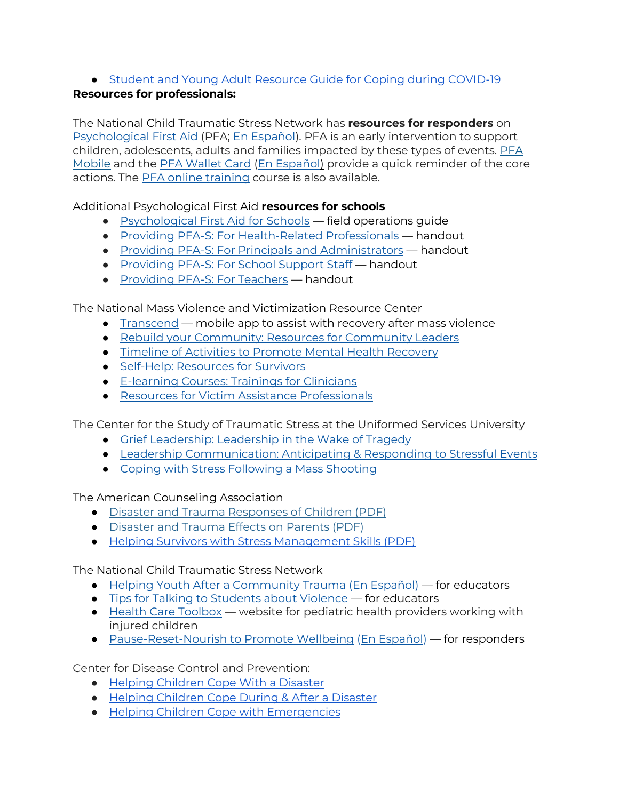# ● [Student and Young Adult Resource Guide for Coping during](https://health.maryland.gov/bha/Documents/BH%20Student%20Resource%20Guide_012021%20%281%29.pdf) COVID-19

## **Resources for professionals:**

The National Child Traumatic Stress Network has **resources for responders** on [Psychological First Aid](https://nam11.safelinks.protection.outlook.com/?url=https%3A%2F%2Furldefense.com%2Fv3%2F__https%3A%2Fwww.nctsn.org%2Fresources%2Fpsychological-first-aid-pfa-field-operations-guide-2nd-edition__%3B!!F9wkZZsI-LA!SIUd2q2njiJ43vJbtUGCEzLFZoCI14Jsv1upSAIdkNbS-wUig4YMKjsW27WviG5a6caP%24&data=05%7C01%7CKconnors%40som.umaryland.edu%7C5b13e3fa76114100ae8308da3dd021bd%7C717009a620de461a88940312a395cac9%7C0%7C0%7C637890261404283040%7CUnknown%7CTWFpbGZsb3d8eyJWIjoiMC4wLjAwMDAiLCJQIjoiV2luMzIiLCJBTiI6Ik1haWwiLCJXVCI6Mn0%3D%7C3000%7C%7C%7C&sdata=8cWTIPs9uAqjkyx8RcPP4m1xLsQ1isVhk%2FkH%2BqHVie0%3D&reserved=0) (PFA; [En Español\)](https://nam11.safelinks.protection.outlook.com/?url=https%3A%2F%2Furldefense.com%2Fv3%2F__https%3A%2Fwww.nctsn.org%2Fresources%2Fprimeros-auxilios-psicologicos-guia-de-operaciones-practicas-2da-edicion__%3B!!F9wkZZsI-LA!SIUd2q2njiJ43vJbtUGCEzLFZoCI14Jsv1upSAIdkNbS-wUig4YMKjsW27WviGtpkaxs%24&data=05%7C01%7CKconnors%40som.umaryland.edu%7C5b13e3fa76114100ae8308da3dd021bd%7C717009a620de461a88940312a395cac9%7C0%7C0%7C637890261404283040%7CUnknown%7CTWFpbGZsb3d8eyJWIjoiMC4wLjAwMDAiLCJQIjoiV2luMzIiLCJBTiI6Ik1haWwiLCJXVCI6Mn0%3D%7C3000%7C%7C%7C&sdata=RPk5JTZctZU6rYTnv3WMmYr8KrXA2TmXXN%2FEizMXmEY%3D&reserved=0). PFA is an early intervention to support children, adolescents, adults and families impacted by these types of events. [PFA](https://nam11.safelinks.protection.outlook.com/?url=https%3A%2F%2Fwww.nctsn.org%2Fresources%2Fpfa-mobile&data=05%7C01%7CKconnors%40som.umaryland.edu%7C5b13e3fa76114100ae8308da3dd021bd%7C717009a620de461a88940312a395cac9%7C0%7C0%7C637890261404283040%7CUnknown%7CTWFpbGZsb3d8eyJWIjoiMC4wLjAwMDAiLCJQIjoiV2luMzIiLCJBTiI6Ik1haWwiLCJXVCI6Mn0%3D%7C3000%7C%7C%7C&sdata=EGIDKIzPQDj0CUpcJR1DCem9zHuVzOQTlGxR5lykuIs%3D&reserved=0)  [Mobile](https://nam11.safelinks.protection.outlook.com/?url=https%3A%2F%2Fwww.nctsn.org%2Fresources%2Fpfa-mobile&data=05%7C01%7CKconnors%40som.umaryland.edu%7C5b13e3fa76114100ae8308da3dd021bd%7C717009a620de461a88940312a395cac9%7C0%7C0%7C637890261404283040%7CUnknown%7CTWFpbGZsb3d8eyJWIjoiMC4wLjAwMDAiLCJQIjoiV2luMzIiLCJBTiI6Ik1haWwiLCJXVCI6Mn0%3D%7C3000%7C%7C%7C&sdata=EGIDKIzPQDj0CUpcJR1DCem9zHuVzOQTlGxR5lykuIs%3D&reserved=0) and the [PFA Wallet Card](https://nam11.safelinks.protection.outlook.com/?url=https%3A%2F%2Furldefense.com%2Fv3%2F__https%3A%2Fwww.nctsn.org%2Fresources%2Fpsychological-first-aid-pfa-wallet-card__%3B!!F9wkZZsI-LA!SIUd2q2njiJ43vJbtUGCEzLFZoCI14Jsv1upSAIdkNbS-wUig4YMKjsW27WviLYN40Vn%24&data=05%7C01%7CKconnors%40som.umaryland.edu%7C5b13e3fa76114100ae8308da3dd021bd%7C717009a620de461a88940312a395cac9%7C0%7C0%7C637890261404283040%7CUnknown%7CTWFpbGZsb3d8eyJWIjoiMC4wLjAwMDAiLCJQIjoiV2luMzIiLCJBTiI6Ik1haWwiLCJXVCI6Mn0%3D%7C3000%7C%7C%7C&sdata=Dt7bVkcl1ap03FC2IKn8Maw32WTzcoB1Q8QkwGUYLjA%3D&reserved=0) [\(En Español\)](https://nam11.safelinks.protection.outlook.com/?url=https%3A%2F%2Furldefense.com%2Fv3%2F__https%3A%2Fwww.nctsn.org%2Fresources%2Fpsychological-first-aid-pfa-wallet-card-sp__%3B!!F9wkZZsI-LA!SIUd2q2njiJ43vJbtUGCEzLFZoCI14Jsv1upSAIdkNbS-wUig4YMKjsW27WviHEcE2bq%24&data=05%7C01%7CKconnors%40som.umaryland.edu%7C5b13e3fa76114100ae8308da3dd021bd%7C717009a620de461a88940312a395cac9%7C0%7C0%7C637890261404283040%7CUnknown%7CTWFpbGZsb3d8eyJWIjoiMC4wLjAwMDAiLCJQIjoiV2luMzIiLCJBTiI6Ik1haWwiLCJXVCI6Mn0%3D%7C3000%7C%7C%7C&sdata=Iu28FdpIUUKKP3uWLHS2jKlw3ucOzWCa1xa95qFebxg%3D&reserved=0) provide a quick reminder of the core actions. The [PFA online training](https://nam11.safelinks.protection.outlook.com/?url=https%3A%2F%2Fwww.nctsn.org%2Fresources%2Fpsychological-first-aid-pfa-online&data=05%7C01%7CKconnors%40som.umaryland.edu%7C5b13e3fa76114100ae8308da3dd021bd%7C717009a620de461a88940312a395cac9%7C0%7C0%7C637890261404283040%7CUnknown%7CTWFpbGZsb3d8eyJWIjoiMC4wLjAwMDAiLCJQIjoiV2luMzIiLCJBTiI6Ik1haWwiLCJXVCI6Mn0%3D%7C3000%7C%7C%7C&sdata=qI69lSKMh4P%2FBvKetBYE%2FwbZf4HRJH69hWkltsGZBqU%3D&reserved=0) course is also available.

Additional Psychological First Aid **resources for schools**

- [Psychological First Aid for Schools](https://nam11.safelinks.protection.outlook.com/?url=https%3A%2F%2Furldefense.com%2Fv3%2F__https%3A%2Fnam11.safelinks.protection.outlook.com%2F%3Furl%3Dhttps*3A*2F*2Furldefense.com*2Fv3*2F__https*3A*2Fnam11.safelinks.protection.outlook.com*2F*3Furl*3Dhttp*3A*2F*2Fwww.nctsn.org*2Fcontent*2Fpsychological-first-aid-schoolspfa*26data*3D04*7C01*7Cjames.henry*40wmich.edu*7C778118e4202c4e67efa608d9b44a0ee1*7C257622517aa94c72905f39bf026a8a84*7C0*7C0*7C637739052603908760*7CUnknown*7CTWFpbGZsb3d8eyJWIjoiMC4wLjAwMDAiLCJQIjoiV2luMzIiLCJBTiI6Ik1haWwiLCJXVCI6Mn0*3D*7C3000*26sdata*3DqzPtH8U74mBqWBNCU*2BHXsqi6zCw2lmBfuCJXIpVEwSQ*3D*26reserved*3D0__*3BJSUlJSUlJSUlJSUlJSUlJSUlJQ!!F9wkZZsI-LA!S0ez0EkgYcoJQqCliLyWQGcPOIQilAz-QMZ3GihleehIPx3OI_orGZ1W6zQDQfNqRFKn*24%26data%3D04*7C01*7Cjames.henry*40wmich.edu*7Cd211fee17b5e42b56c9708d9bc049985*7C257622517aa94c72905f39bf026a8a84*7C0*7C0*7C637747550359944141*7CUnknown*7CTWFpbGZsb3d8eyJWIjoiMC4wLjAwMDAiLCJQIjoiV2luMzIiLCJBTiI6Ik1haWwiLCJXVCI6Mn0*3D*7C3000%26sdata%3DZJnW1S0ziBkDC68GBYD3bmwZSLasrauLiV7YbReCf0c*3D%26reserved%3D0__%3BJSUlJSUlJSUlJSoqKioqJSUqKioqKioqKioqKiolJSoqJSUlJSUlJSUlJSUlJSUlJSU!!F9wkZZsI-LA!WLN-m7mcj34zxZ_vuGozR808BlN5tLgRjC4KShGKA5LpEZshoFC5ViPePI9l17IpUmQw%24&data=05%7C01%7CKconnors%40som.umaryland.edu%7C5b13e3fa76114100ae8308da3dd021bd%7C717009a620de461a88940312a395cac9%7C0%7C0%7C637890261404283040%7CUnknown%7CTWFpbGZsb3d8eyJWIjoiMC4wLjAwMDAiLCJQIjoiV2luMzIiLCJBTiI6Ik1haWwiLCJXVCI6Mn0%3D%7C3000%7C%7C%7C&sdata=azkj%2BImsRq9sFmDTIvjHbDN12O%2BD8LalEEf88gO8B4I%3D&reserved=0) field operations guide
- [Providing PFA-S: For Health-Related Professionals](https://nam11.safelinks.protection.outlook.com/?url=https%3A%2F%2Furldefense.com%2Fv3%2F__https%3A%2Fnam11.safelinks.protection.outlook.com%2F%3Furl%3Dhttps*3A*2F*2Furldefense.com*2Fv3*2F__https*3A*2Fnam11.safelinks.protection.outlook.com*2F*3Furl*3Dhttps*3A*2F*2Fwww.nctsn.org*2Fresources*2Fproviding-psychological-first-aid-health-related-professionals*26data*3D04*7C01*7Cjames.henry*40wmich.edu*7C778118e4202c4e67efa608d9b44a0ee1*7C257622517aa94c72905f39bf026a8a84*7C0*7C0*7C637739052603908760*7CUnknown*7CTWFpbGZsb3d8eyJWIjoiMC4wLjAwMDAiLCJQIjoiV2luMzIiLCJBTiI6Ik1haWwiLCJXVCI6Mn0*3D*7C3000*26sdata*3DXb94mLfiTsjo*2BjWn9qT6w4HeP0XxZo1HHfDnZ5PJARg*3D*26reserved*3D0__*3BJSUlJSUlJSUlJSUlJSUlJSUlJQ!!F9wkZZsI-LA!S0ez0EkgYcoJQqCliLyWQGcPOIQilAz-QMZ3GihleehIPx3OI_orGZ1W6zQDQTKAt8_p*24%26data%3D04*7C01*7Cjames.henry*40wmich.edu*7Cd211fee17b5e42b56c9708d9bc049985*7C257622517aa94c72905f39bf026a8a84*7C0*7C0*7C637747550359944141*7CUnknown*7CTWFpbGZsb3d8eyJWIjoiMC4wLjAwMDAiLCJQIjoiV2luMzIiLCJBTiI6Ik1haWwiLCJXVCI6Mn0*3D*7C3000%26sdata%3DErbDIAEleftoDIzwD67Z*2BcD6oIO3GRJWNgxEuf3nUqI*3D%26reserved%3D0__%3BJSUlJSUlJSUlJSoqKioqJSUqKioqKioqKioqKiolJSoqJSUlJSUlJSUlJSUlJSUlJSUl!!F9wkZZsI-LA!WLN-m7mcj34zxZ_vuGozR808BlN5tLgRjC4KShGKA5LpEZshoFC5ViPePI9l15gXwu7N%24&data=05%7C01%7CKconnors%40som.umaryland.edu%7C5b13e3fa76114100ae8308da3dd021bd%7C717009a620de461a88940312a395cac9%7C0%7C0%7C637890261404283040%7CUnknown%7CTWFpbGZsb3d8eyJWIjoiMC4wLjAwMDAiLCJQIjoiV2luMzIiLCJBTiI6Ik1haWwiLCJXVCI6Mn0%3D%7C3000%7C%7C%7C&sdata=%2FyvH2%2BvOdCwBXN5myWNT3Oi8RE%2BUVQmIfU3dnTixdiM%3D&reserved=0)  handout
- [Providing PFA-S: For Principals and Administrators](https://nam11.safelinks.protection.outlook.com/?url=https%3A%2F%2Furldefense.com%2Fv3%2F__https%3A%2Fnam11.safelinks.protection.outlook.com%2F%3Furl%3Dhttps*3A*2F*2Furldefense.com*2Fv3*2F__https*3A*2Fnam11.safelinks.protection.outlook.com*2F*3Furl*3Dhttps*3A*2F*2Fwww.nctsn.org*2Fresources*2Fproviding-psychological-first-aid-principals-and-administrators*26data*3D04*7C01*7Cjames.henry*40wmich.edu*7C778118e4202c4e67efa608d9b44a0ee1*7C257622517aa94c72905f39bf026a8a84*7C0*7C0*7C637739052603918719*7CUnknown*7CTWFpbGZsb3d8eyJWIjoiMC4wLjAwMDAiLCJQIjoiV2luMzIiLCJBTiI6Ik1haWwiLCJXVCI6Mn0*3D*7C3000*26sdata*3D91S0rYhwnRrweA8*2B*2Bjy9s*2FP8uvFukdtcpHlDatyaahI*3D*26reserved*3D0__*3BJSUlJSUlJSUlJSUlJSUlJSUlJSUl!!F9wkZZsI-LA!S0ez0EkgYcoJQqCliLyWQGcPOIQilAz-QMZ3GihleehIPx3OI_orGZ1W6zQDQbmHGbQh*24%26data%3D04*7C01*7Cjames.henry*40wmich.edu*7Cd211fee17b5e42b56c9708d9bc049985*7C257622517aa94c72905f39bf026a8a84*7C0*7C0*7C637747550359944141*7CUnknown*7CTWFpbGZsb3d8eyJWIjoiMC4wLjAwMDAiLCJQIjoiV2luMzIiLCJBTiI6Ik1haWwiLCJXVCI6Mn0*3D*7C3000%26sdata%3DX2sZUiDuRiI5w6Iw9x40MbjnuSMQESyfBB4vz1hJcSY*3D%26reserved%3D0__%3BJSUlJSUlJSUlJSoqKioqJSUqKioqKioqKioqKiolJSoqKiolJSUlJSUlJSUlJSUlJSUlJQ!!F9wkZZsI-LA!WLN-m7mcj34zxZ_vuGozR808BlN5tLgRjC4KShGKA5LpEZshoFC5ViPePI9l1_LwA0fb%24&data=05%7C01%7CKconnors%40som.umaryland.edu%7C5b13e3fa76114100ae8308da3dd021bd%7C717009a620de461a88940312a395cac9%7C0%7C0%7C637890261404283040%7CUnknown%7CTWFpbGZsb3d8eyJWIjoiMC4wLjAwMDAiLCJQIjoiV2luMzIiLCJBTiI6Ik1haWwiLCJXVCI6Mn0%3D%7C3000%7C%7C%7C&sdata=uafLbRuomHGEyRy1IdJHiuqqMAFV3pkZBc5gNpxyVcA%3D&reserved=0) handout
- [Providing PFA-S: For School Support Staff](https://nam11.safelinks.protection.outlook.com/?url=https%3A%2F%2Furldefense.com%2Fv3%2F__https%3A%2Fnam11.safelinks.protection.outlook.com%2F%3Furl%3Dhttps*3A*2F*2Furldefense.com*2Fv3*2F__https*3A*2Fnam11.safelinks.protection.outlook.com*2F*3Furl*3Dhttps*3A*2F*2Fwww.nctsn.org*2Fresources*2Fproviding-psychological-first-aid-support-staff*26data*3D04*7C01*7Cjames.henry*40wmich.edu*7C778118e4202c4e67efa608d9b44a0ee1*7C257622517aa94c72905f39bf026a8a84*7C0*7C0*7C637739052603928673*7CUnknown*7CTWFpbGZsb3d8eyJWIjoiMC4wLjAwMDAiLCJQIjoiV2luMzIiLCJBTiI6Ik1haWwiLCJXVCI6Mn0*3D*7C3000*26sdata*3DFkjggCfxFvBHkgTR3w*2FInBCpC2FMJwCsKkm*2BvF6p8mE*3D*26reserved*3D0__*3BJSUlJSUlJSUlJSUlJSUlJSUlJSU!!F9wkZZsI-LA!S0ez0EkgYcoJQqCliLyWQGcPOIQilAz-QMZ3GihleehIPx3OI_orGZ1W6zQDQSQowxwT*24%26data%3D04*7C01*7Cjames.henry*40wmich.edu*7Cd211fee17b5e42b56c9708d9bc049985*7C257622517aa94c72905f39bf026a8a84*7C0*7C0*7C637747550359944141*7CUnknown*7CTWFpbGZsb3d8eyJWIjoiMC4wLjAwMDAiLCJQIjoiV2luMzIiLCJBTiI6Ik1haWwiLCJXVCI6Mn0*3D*7C3000%26sdata%3DDLEQtTUItpmnwU1nz85Z5plV*2Fy0zNDAVNFACBHXp0x0*3D%26reserved%3D0__%3BJSUlJSUlJSUlJSoqKioqJSUqKioqKioqKioqKiolJSoqKiUlJSUlJSUlJSUlJSUlJSUlJQ!!F9wkZZsI-LA!WLN-m7mcj34zxZ_vuGozR808BlN5tLgRjC4KShGKA5LpEZshoFC5ViPePI9l13eTJsuR%24&data=05%7C01%7CKconnors%40som.umaryland.edu%7C5b13e3fa76114100ae8308da3dd021bd%7C717009a620de461a88940312a395cac9%7C0%7C0%7C637890261404283040%7CUnknown%7CTWFpbGZsb3d8eyJWIjoiMC4wLjAwMDAiLCJQIjoiV2luMzIiLCJBTiI6Ik1haWwiLCJXVCI6Mn0%3D%7C3000%7C%7C%7C&sdata=IH0XJts3wdvKrzCSeHD8aaiQUHT16MyBXhW20HGv90Y%3D&reserved=0)  handout
- [Providing PFA-S: For Teachers](https://nam11.safelinks.protection.outlook.com/?url=https%3A%2F%2Furldefense.com%2Fv3%2F__https%3A%2Fnam11.safelinks.protection.outlook.com%2F%3Furl%3Dhttps*3A*2F*2Furldefense.com*2Fv3*2F__https*3A*2Fnam11.safelinks.protection.outlook.com*2F*3Furl*3Dhttps*3A*2F*2Fwww.nctsn.org*2Fresources*2Fproviding-psychological-first-aid-teachers*26data*3D04*7C01*7Cjames.henry*40wmich.edu*7C778118e4202c4e67efa608d9b44a0ee1*7C257622517aa94c72905f39bf026a8a84*7C0*7C0*7C637739052603928673*7CUnknown*7CTWFpbGZsb3d8eyJWIjoiMC4wLjAwMDAiLCJQIjoiV2luMzIiLCJBTiI6Ik1haWwiLCJXVCI6Mn0*3D*7C3000*26sdata*3D0BsljnmD5p3MoIveW126DL*2FlPNo5GMexrWZLH*2FPctm8*3D*26reserved*3D0__*3BJSUlJSUlJSUlJSUlJSUlJSUlJSU!!F9wkZZsI-LA!S0ez0EkgYcoJQqCliLyWQGcPOIQilAz-QMZ3GihleehIPx3OI_orGZ1W6zQDQWzGUJQL*24%26data%3D04*7C01*7Cjames.henry*40wmich.edu*7Cd211fee17b5e42b56c9708d9bc049985*7C257622517aa94c72905f39bf026a8a84*7C0*7C0*7C637747550359944141*7CUnknown*7CTWFpbGZsb3d8eyJWIjoiMC4wLjAwMDAiLCJQIjoiV2luMzIiLCJBTiI6Ik1haWwiLCJXVCI6Mn0*3D*7C3000%26sdata%3D5Z7iGV2DtfswZjEi7RGkIUgchUgtLpIp6T46FPFI8yA*3D%26reserved%3D0__%3BJSUlJSUlJSUlJSoqKioqJSUqKioqKioqKioqKiolJSoqKiUlJSUlJSUlJSUlJSUlJSUl!!F9wkZZsI-LA!WLN-m7mcj34zxZ_vuGozR808BlN5tLgRjC4KShGKA5LpEZshoFC5ViPePI9l16UVQ7yl%24&data=05%7C01%7CKconnors%40som.umaryland.edu%7C5b13e3fa76114100ae8308da3dd021bd%7C717009a620de461a88940312a395cac9%7C0%7C0%7C637890261404283040%7CUnknown%7CTWFpbGZsb3d8eyJWIjoiMC4wLjAwMDAiLCJQIjoiV2luMzIiLCJBTiI6Ik1haWwiLCJXVCI6Mn0%3D%7C3000%7C%7C%7C&sdata=at9SeJ2CnQfRnBwCrdipjhTcpzcVHGvwnKR7hxDWNEI%3D&reserved=0) handout

The National Mass Violence and Victimization Resource Center

- [Transcend](https://nam11.safelinks.protection.outlook.com/?url=https%3A%2F%2Fapps.apple.com%2Fus%2Fapp%2Ftranscend-nmvc%2Fid1504741131&data=05%7C01%7CKconnors%40som.umaryland.edu%7C5b13e3fa76114100ae8308da3dd021bd%7C717009a620de461a88940312a395cac9%7C0%7C0%7C637890261404283040%7CUnknown%7CTWFpbGZsb3d8eyJWIjoiMC4wLjAwMDAiLCJQIjoiV2luMzIiLCJBTiI6Ik1haWwiLCJXVCI6Mn0%3D%7C3000%7C%7C%7C&sdata=1AdTCw%2BtU9Evm9zkxt9KGKTrMU%2FSpM41szwt%2FAZ5LMQ%3D&reserved=0) mobile app to assist with recovery after mass violence
- [Rebuild your Community: Resources for Community Leaders](https://nam11.safelinks.protection.outlook.com/?url=https%3A%2F%2Fwww.nmvvrc.org%2Fcommunity-leaders%2Frebuild-your-community%2F&data=05%7C01%7CKconnors%40som.umaryland.edu%7C5b13e3fa76114100ae8308da3dd021bd%7C717009a620de461a88940312a395cac9%7C0%7C0%7C637890261404283040%7CUnknown%7CTWFpbGZsb3d8eyJWIjoiMC4wLjAwMDAiLCJQIjoiV2luMzIiLCJBTiI6Ik1haWwiLCJXVCI6Mn0%3D%7C3000%7C%7C%7C&sdata=XEm9sj7iDxi5tW8y1UiDrW5JdobP%2FeNy9R8qcElvtO4%3D&reserved=0)
- [Timeline of Activities to Promote Mental Health Recovery](https://nam11.safelinks.protection.outlook.com/?url=https%3A%2F%2Fwww.nmvvrc.org%2Fmedia%2F1jlfjdl1%2Ftipsheet26.pdf&data=05%7C01%7CKconnors%40som.umaryland.edu%7C5b13e3fa76114100ae8308da3dd021bd%7C717009a620de461a88940312a395cac9%7C0%7C0%7C637890261404283040%7CUnknown%7CTWFpbGZsb3d8eyJWIjoiMC4wLjAwMDAiLCJQIjoiV2luMzIiLCJBTiI6Ik1haWwiLCJXVCI6Mn0%3D%7C3000%7C%7C%7C&sdata=GwkPQBQ2bk9tiMlET9MmXg%2FmgqcrTFte4iUAkVGFwjo%3D&reserved=0)
- [Self-Help: Resources for Survivors](https://nam11.safelinks.protection.outlook.com/?url=https%3A%2F%2Fwww.nmvvrc.org%2Fsurvivors%2Fself-help%2F&data=05%7C01%7CKconnors%40som.umaryland.edu%7C5b13e3fa76114100ae8308da3dd021bd%7C717009a620de461a88940312a395cac9%7C0%7C0%7C637890261404283040%7CUnknown%7CTWFpbGZsb3d8eyJWIjoiMC4wLjAwMDAiLCJQIjoiV2luMzIiLCJBTiI6Ik1haWwiLCJXVCI6Mn0%3D%7C3000%7C%7C%7C&sdata=aMp9dBvM%2BAECqLjJoOOAGeSQlnAGBLRInoROb02G9k0%3D&reserved=0)
- [E-learning Courses: Trainings for Clinicians](https://nam11.safelinks.protection.outlook.com/?url=https%3A%2F%2Fwww.nmvvrc.org%2Fvaps-clinicians%2Fonline-clinical-trainings%2F&data=05%7C01%7CKconnors%40som.umaryland.edu%7C5b13e3fa76114100ae8308da3dd021bd%7C717009a620de461a88940312a395cac9%7C0%7C0%7C637890261404283040%7CUnknown%7CTWFpbGZsb3d8eyJWIjoiMC4wLjAwMDAiLCJQIjoiV2luMzIiLCJBTiI6Ik1haWwiLCJXVCI6Mn0%3D%7C3000%7C%7C%7C&sdata=PY8U%2BkXL2GN%2BPQV85UgFUP5bGj8siatRkqOt9D1%2F1KU%3D&reserved=0)
- [Resources for Victim Assistance Professionals](https://nam11.safelinks.protection.outlook.com/?url=https%3A%2F%2Fwww.nmvvrc.org%2Fvaps-clinicians%2Fvap-resources%2F&data=05%7C01%7CKconnors%40som.umaryland.edu%7C5b13e3fa76114100ae8308da3dd021bd%7C717009a620de461a88940312a395cac9%7C0%7C0%7C637890261404283040%7CUnknown%7CTWFpbGZsb3d8eyJWIjoiMC4wLjAwMDAiLCJQIjoiV2luMzIiLCJBTiI6Ik1haWwiLCJXVCI6Mn0%3D%7C3000%7C%7C%7C&sdata=hChbfFJyb6BMTiRPK%2FFAAhConX%2BMnKnPjKpQwMzJTAE%3D&reserved=0)

The Center for the Study of Traumatic Stress at the Uniformed Services University

- [Grief Leadership: Leadership in the Wake of Tragedy](https://nam11.safelinks.protection.outlook.com/?url=https%3A%2F%2Furldefense.proofpoint.com%2Fv2%2Furl%3Fu%3Dhttps-3A__www.cstsonline.org_resources_resource-2Dmaster-2Dlist_grief-2Dleadership-2Dleadership-2Din-2Dthe-2Dwake-2Dof-2Dtragedy%26d%3DDwMFAg%26c%3DUXmaowRpu5bLSLEQRunJ2z-YIUZuUoa9Rw_x449Hd_Y%26r%3DhzomOGg2G27ZjuZegYWWfu4EgrpiGCT_JunBM07Lj7Q%26m%3DvyKoXFUQ-CzUQsUEsU_VwEifMStVNuB6XZZtDuIDrTY%26s%3DRbSqdJyXqroRvSJKxOf59YYDc9k4Yy0axZxAPiwA7nA%26e%3D&data=05%7C01%7CKconnors%40som.umaryland.edu%7C5b13e3fa76114100ae8308da3dd021bd%7C717009a620de461a88940312a395cac9%7C0%7C0%7C637890261404283040%7CUnknown%7CTWFpbGZsb3d8eyJWIjoiMC4wLjAwMDAiLCJQIjoiV2luMzIiLCJBTiI6Ik1haWwiLCJXVCI6Mn0%3D%7C3000%7C%7C%7C&sdata=WS6OwNf0lQeyE4SQHyGc%2FpfZATu0P8fNi9LcSPc0h%2Bg%3D&reserved=0)
- [Leadership Communication: Anticipating & Responding to Stressful Events](https://nam11.safelinks.protection.outlook.com/?url=https%3A%2F%2Furldefense.proofpoint.com%2Fv2%2Furl%3Fu%3Dhttps-3A__www.cstsonline.org_resources_resource-2Dmaster-2Dlist_leadership-2Dcommunication-2Danticipating-2Dresponding-2Dstressful-2Devents%26d%3DDwMFAg%26c%3DUXmaowRpu5bLSLEQRunJ2z-YIUZuUoa9Rw_x449Hd_Y%26r%3DhzomOGg2G27ZjuZegYWWfu4EgrpiGCT_JunBM07Lj7Q%26m%3DvyKoXFUQ-CzUQsUEsU_VwEifMStVNuB6XZZtDuIDrTY%26s%3DWQKWD_L8vzJrePqX6pFtKIMyAjgY-Pk2V33wk8OnzrQ%26e%3D&data=05%7C01%7CKconnors%40som.umaryland.edu%7C5b13e3fa76114100ae8308da3dd021bd%7C717009a620de461a88940312a395cac9%7C0%7C0%7C637890261404283040%7CUnknown%7CTWFpbGZsb3d8eyJWIjoiMC4wLjAwMDAiLCJQIjoiV2luMzIiLCJBTiI6Ik1haWwiLCJXVCI6Mn0%3D%7C3000%7C%7C%7C&sdata=22%2FCWOi3hyzD17gjRVa1PEnVFDCAN42OW7SdAtVBHTE%3D&reserved=0)
- [Coping with Stress Following a Mass Shooting](https://nam11.safelinks.protection.outlook.com/?url=https%3A%2F%2Fwww.cstsonline.org%2Fassets%2Fmedia%2Fdocuments%2FCSTS_FS_Coping_with_Stress_Following_Mass_Shooting.pdf&data=05%7C01%7CKconnors%40som.umaryland.edu%7C5b13e3fa76114100ae8308da3dd021bd%7C717009a620de461a88940312a395cac9%7C0%7C0%7C637890261404283040%7CUnknown%7CTWFpbGZsb3d8eyJWIjoiMC4wLjAwMDAiLCJQIjoiV2luMzIiLCJBTiI6Ik1haWwiLCJXVCI6Mn0%3D%7C3000%7C%7C%7C&sdata=s7ipdqUjcaNSeyJb3sutgfBtsHmukW%2BLWSavHDnF1Jw%3D&reserved=0)

The American Counseling Association

- [Disaster and Trauma Responses of Children \(PDF\)](https://www.counseling.org/docs/default-source/trauma-disaster/fact-sheet-3-disaster-and-trauma-responses-of-children.pdf?sfvrsn=42824e2c_4)
- [Disaster and Trauma Effects on Parents \(PDF\)](https://www.counseling.org/docs/trauma-disaster/fact-sheet-4---disaster-and-trauma-effects-on-parents.pdf?sfvrsn=4470062a_2)
- [Helping Survivors with Stress Management Skills \(PDF\)](https://www.counseling.org/docs/trauma-disaster/fact-sheet-13---helping-survivors-with-stress-management-skills.pdf?sfvrsn=625b433a_2)

The National Child Traumatic Stress Network

- [Helping Youth After a Community Trauma](https://nam11.safelinks.protection.outlook.com/?url=https%3A%2F%2Furldefense.com%2Fv3%2F__https%3A%2Fnam11.safelinks.protection.outlook.com%2F%3Furl%3Dhttps*3A*2F*2Furldefense.com*2Fv3*2F__https*3A*2Fnam11.safelinks.protection.outlook.com*2F*3Furl*3Dhttps*3A*2F*2Fwww.nctsn.org*2Fresources*2Fhelping-youth-after-community-trauma-tips-educators*26data*3D04*7C01*7Cjames.henry*40wmich.edu*7C778118e4202c4e67efa608d9b44a0ee1*7C257622517aa94c72905f39bf026a8a84*7C0*7C0*7C637739052603858978*7CUnknown*7CTWFpbGZsb3d8eyJWIjoiMC4wLjAwMDAiLCJQIjoiV2luMzIiLCJBTiI6Ik1haWwiLCJXVCI6Mn0*3D*7C3000*26sdata*3DmNcltU1dL1XaakucVA2*2BWj*2FiQiT5rfjld75ihNKTB14*3D*26reserved*3D0__*3BJSUlJSUlJSUlJSUlJSUlJSUlJSU!!F9wkZZsI-LA!S0ez0EkgYcoJQqCliLyWQGcPOIQilAz-QMZ3GihleehIPx3OI_orGZ1W6zQDQXBozk_E*24%26data%3D04*7C01*7Cjames.henry*40wmich.edu*7Cd211fee17b5e42b56c9708d9bc049985*7C257622517aa94c72905f39bf026a8a84*7C0*7C0*7C637747550359944141*7CUnknown*7CTWFpbGZsb3d8eyJWIjoiMC4wLjAwMDAiLCJQIjoiV2luMzIiLCJBTiI6Ik1haWwiLCJXVCI6Mn0*3D*7C3000%26sdata%3D2SZws6ZNQM49f5gLRYe30Xq7A6sDnTlWKdcHPwNivpo*3D%26reserved%3D0__%3BJSUlJSUlJSUlJSoqKioqJSUqKioqKioqKioqKiolJSoqKiUlJSUlJSUlJSUlJSUlJSUl!!F9wkZZsI-LA!WLN-m7mcj34zxZ_vuGozR808BlN5tLgRjC4KShGKA5LpEZshoFC5ViPePI9l1we2zQhv%24&data=05%7C01%7CKconnors%40som.umaryland.edu%7C5b13e3fa76114100ae8308da3dd021bd%7C717009a620de461a88940312a395cac9%7C0%7C0%7C637890261404126900%7CUnknown%7CTWFpbGZsb3d8eyJWIjoiMC4wLjAwMDAiLCJQIjoiV2luMzIiLCJBTiI6Ik1haWwiLCJXVCI6Mn0%3D%7C3000%7C%7C%7C&sdata=OPJM2KYMIr01%2FTrktxHSpPjxTLkznw3z4i5rFYGcoBo%3D&reserved=0) [\(En Español\)](https://nam11.safelinks.protection.outlook.com/?url=https%3A%2F%2Fwww.nctsn.org%2Fresources%2Fhelping-youth-after-community-trauma-tips-educators-sp&data=05%7C01%7CKconnors%40som.umaryland.edu%7C5b13e3fa76114100ae8308da3dd021bd%7C717009a620de461a88940312a395cac9%7C0%7C0%7C637890261404126900%7CUnknown%7CTWFpbGZsb3d8eyJWIjoiMC4wLjAwMDAiLCJQIjoiV2luMzIiLCJBTiI6Ik1haWwiLCJXVCI6Mn0%3D%7C3000%7C%7C%7C&sdata=R0J1jtUAJLXOaC%2F0OcGka9JED7mJ7Yk%2BiX1RYFyrLmY%3D&reserved=0) for educators
- **•** [Tips for Talking to Students about Violence](https://nam11.safelinks.protection.outlook.com/?url=https%3A%2F%2Fdrive.google.com%2Ffile%2Fd%2F1DO7aqM23ad4Q5wWZyHR1ghFscQtWdALZ%2Fview&data=05%7C01%7CKconnors%40som.umaryland.edu%7C5b13e3fa76114100ae8308da3dd021bd%7C717009a620de461a88940312a395cac9%7C0%7C0%7C637890261404126900%7CUnknown%7CTWFpbGZsb3d8eyJWIjoiMC4wLjAwMDAiLCJQIjoiV2luMzIiLCJBTiI6Ik1haWwiLCJXVCI6Mn0%3D%7C3000%7C%7C%7C&sdata=svqSa5JNnvsJtVivTur5EJ4GQyH7Zicgy%2F9qhvoFtkw%3D&reserved=0) for educators
- [Health Care Toolbox](https://nam11.safelinks.protection.outlook.com/?url=https%3A%2F%2Furldefense.com%2Fv3%2F__https%3A%2Fnam11.safelinks.protection.outlook.com%2F%3Furl%3Dhttps*3A*2F*2Furldefense.com*2Fv3*2F__https*3A*2Fnam11.safelinks.protection.outlook.com*2F*3Furl*3Dhttps*3A*2F*2Furldefense.proofpoint.com*2Fv2*2Furl*3Fu*3Dhttps-3A__www.healthcaretoolbox.org_*26d*3DDwMFAg*26c*3DUXmaowRpu5bLSLEQRunJ2z-YIUZuUoa9Rw_x449Hd_Y*26r*3DhzomOGg2G27ZjuZegYWWfu4EgrpiGCT_JunBM07Lj7Q*26m*3DvyKoXFUQ-CzUQsUEsU_VwEifMStVNuB6XZZtDuIDrTY*26s*3DTo4qpM_pSNMYr-2Wu8Yq6yEKrS7FOZCM4Pxiq5SgFuM*26e*3D*26data*3D04*7C01*7Cjames.henry*40wmich.edu*7C778118e4202c4e67efa608d9b44a0ee1*7C257622517aa94c72905f39bf026a8a84*7C0*7C0*7C637739052603888848*7CUnknown*7CTWFpbGZsb3d8eyJWIjoiMC4wLjAwMDAiLCJQIjoiV2luMzIiLCJBTiI6Ik1haWwiLCJXVCI6Mn0*3D*7C3000*26sdata*3DcrKZkT*2F9xlBsfqipiaAAAT6h6ETKg8LZGnngZQtQWck*3D*26reserved*3D0__*3BJSUlJSUlJSUlJSUlJSUlJSUlJSUlJSUlJSUlJSUlJSUl!!F9wkZZsI-LA!S0ez0EkgYcoJQqCliLyWQGcPOIQilAz-QMZ3GihleehIPx3OI_orGZ1W6zQDQVeOEJCl*24%26data%3D04*7C01*7Cjames.henry*40wmich.edu*7Cd211fee17b5e42b56c9708d9bc049985*7C257622517aa94c72905f39bf026a8a84*7C0*7C0*7C637747550359944141*7CUnknown*7CTWFpbGZsb3d8eyJWIjoiMC4wLjAwMDAiLCJQIjoiV2luMzIiLCJBTiI6Ik1haWwiLCJXVCI6Mn0*3D*7C3000%26sdata%3DwAETX0H4b3mVzpMM5Dl109Y5j8CFpVNKG*2FKPGl2Yqtw*3D%26reserved%3D0__%3BJSUlJSUlJSUlJSoqKioqKioqKioqKioqKioqKiolJSoqKioqKioqKioqKiUlKiolJSUlJSUlJSUlJSUlJSUlJSU!!F9wkZZsI-LA!WLN-m7mcj34zxZ_vuGozR808BlN5tLgRjC4KShGKA5LpEZshoFC5ViPePI9l13B9jNuo%24&data=05%7C01%7CKconnors%40som.umaryland.edu%7C5b13e3fa76114100ae8308da3dd021bd%7C717009a620de461a88940312a395cac9%7C0%7C0%7C637890261404283040%7CUnknown%7CTWFpbGZsb3d8eyJWIjoiMC4wLjAwMDAiLCJQIjoiV2luMzIiLCJBTiI6Ik1haWwiLCJXVCI6Mn0%3D%7C3000%7C%7C%7C&sdata=JhiqjBEDa1Jx%2Ba%2FqeC96qsv3yTbHiBeMYyTql0AD25s%3D&reserved=0) website for pediatric health providers working with injured children
- [Pause-Reset-Nourish to Promote Wellbeing](https://nam11.safelinks.protection.outlook.com/?url=https%3A%2F%2Fwww.nctsn.org%2Fresources%2Fpause-reset-nourish-to-promote-wellbeing-use-as-needed-to-care-for-your-wellness&data=05%7C01%7CKconnors%40som.umaryland.edu%7C5b13e3fa76114100ae8308da3dd021bd%7C717009a620de461a88940312a395cac9%7C0%7C0%7C637890261404283040%7CUnknown%7CTWFpbGZsb3d8eyJWIjoiMC4wLjAwMDAiLCJQIjoiV2luMzIiLCJBTiI6Ik1haWwiLCJXVCI6Mn0%3D%7C3000%7C%7C%7C&sdata=6y4GX5yASn8KXNxATioFV6Ct48ji%2BA2bauRpNpHDfTg%3D&reserved=0) [\(En Español\)](https://nam11.safelinks.protection.outlook.com/?url=https%3A%2F%2Fwww.nctsn.org%2Fresources%2Fprn-to-promote-wellbeing-as-needed-to-care-for-your-wellness-sp&data=05%7C01%7CKconnors%40som.umaryland.edu%7C5b13e3fa76114100ae8308da3dd021bd%7C717009a620de461a88940312a395cac9%7C0%7C0%7C637890261404283040%7CUnknown%7CTWFpbGZsb3d8eyJWIjoiMC4wLjAwMDAiLCJQIjoiV2luMzIiLCJBTiI6Ik1haWwiLCJXVCI6Mn0%3D%7C3000%7C%7C%7C&sdata=UYQUF1%2BwgdgxfC0OtVFSKDFjdAZ6SOL7peWOSA773Pk%3D&reserved=0) for responders

Center for Disease Control and Prevention:

- [Helping Children Cope With a Disaster](https://blogs.cdc.gov/publichealthmatters/2013/09/helping-children-cope-with-a-disaster/)
- [Helping Children Cope During & After a Disaster](https://www.cdc.gov/childrenindisasters/pdf/children-coping-factsheet-508.pdf)
- [Helping Children Cope with Emergencies](https://www.cdc.gov/childrenindisasters/helping-children-cope.html)